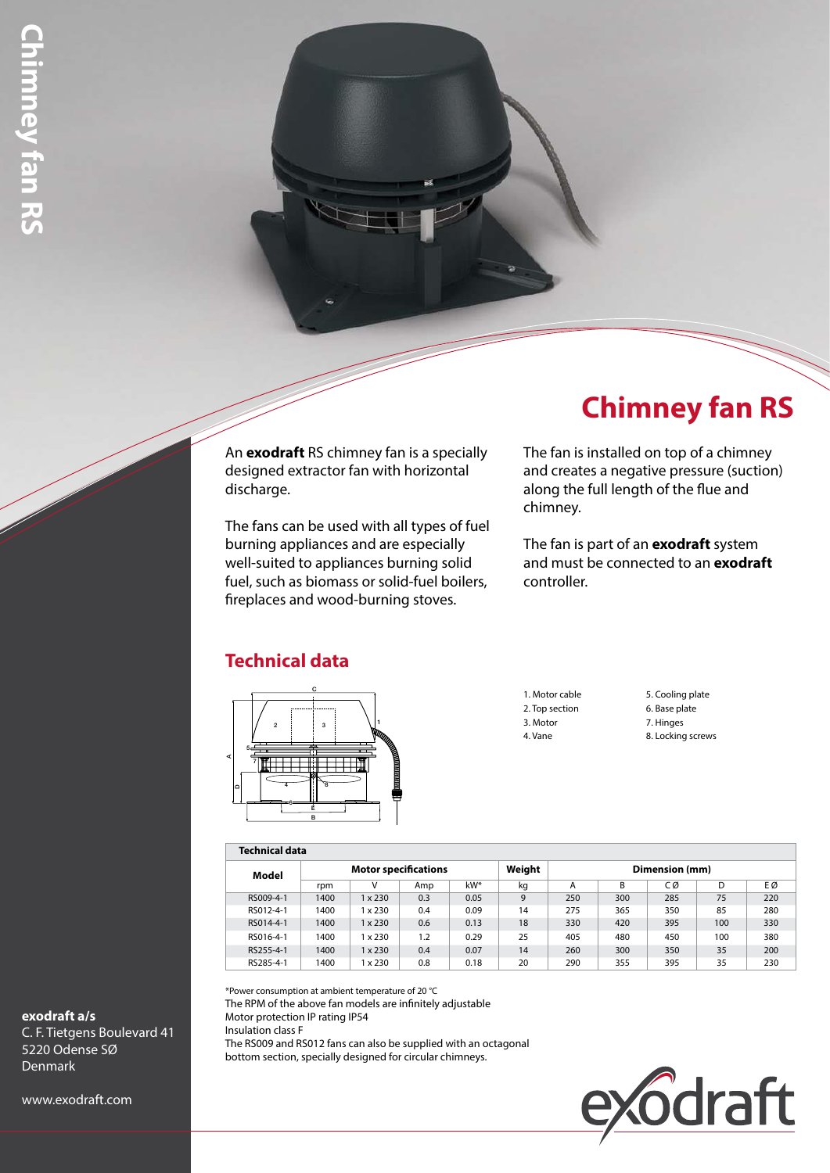### An **exodraft** RS chimney fan is a specially designed extractor fan with horizontal discharge.

The fans can be used with all types of fuel burning appliances and are especially well-suited to appliances burning solid fuel, such as biomass or solid-fuel boilers, fireplaces and wood-burning stoves.

# **Chimney fan RS**

The fan is installed on top of a chimney and creates a negative pressure (suction) along the full length of the flue and chimney.

The fan is part of an **exodraft** system and must be connected to an **exodraft** controller.

## **Technical data**



1. Motor cable 2. Top section 3. Motor 4. Vane

5. Cooling plate 6. Base plate 7. Hinges 8. Locking screws

#### **Technical data**

| .         |                             |                |     |      |        |                |     |     |     |     |
|-----------|-----------------------------|----------------|-----|------|--------|----------------|-----|-----|-----|-----|
| Model     | <b>Motor specifications</b> |                |     |      | Weight | Dimension (mm) |     |     |     |     |
|           | rpm                         | ν              | Amp | kW*  | kq     | A              | В   | СØ  | D   | EØ  |
| RS009-4-1 | 1400                        | $1 \times 230$ | 0.3 | 0.05 | 9      | 250            | 300 | 285 | 75  | 220 |
| RS012-4-1 | 1400                        | x 230          | 0.4 | 0.09 | 14     | 275            | 365 | 350 | 85  | 280 |
| RS014-4-1 | 1400                        | $1 \times 230$ | 0.6 | 0.13 | 18     | 330            | 420 | 395 | 100 | 330 |
| RS016-4-1 | 1400                        | x 230          | 1.2 | 0.29 | 25     | 405            | 480 | 450 | 100 | 380 |
| RS255-4-1 | 1400                        | $1 \times 230$ | 0.4 | 0.07 | 14     | 260            | 300 | 350 | 35  | 200 |
| RS285-4-1 | 1400                        | $1 \times 230$ | 0.8 | 0.18 | 20     | 290            | 355 | 395 | 35  | 230 |

\*Power consumption at ambient temperature of 20 °C

The RPM of the above fan models are infinitely adjustable Motor protection IP rating IP54 Insulation class F The RS009 and RS012 fans can also be supplied with an octagonal bottom section, specially designed for circular chimneys.



**exodraft a/s** C. F. Tietgens Boulevard 41 5220 Odense SØ Denmark

www.exodraft.com